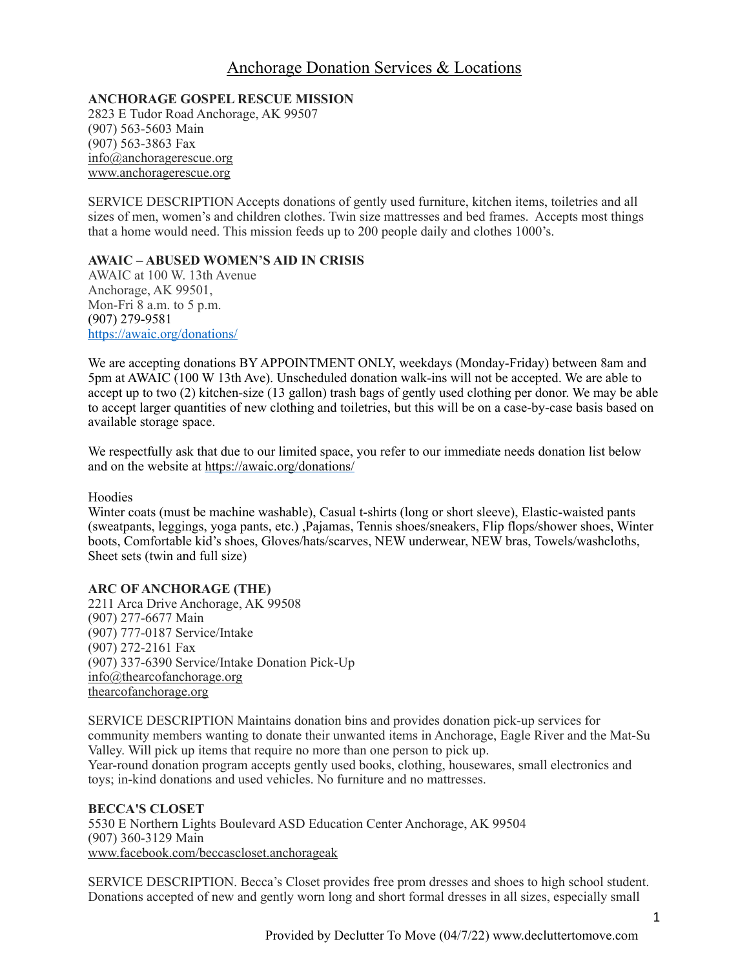# Anchorage Donation Services & Locations

**ANCHORAGE GOSPEL RESCUE MISSION** 2823 E Tudor Road Anchorage, AK 99507 (907) 563-5603 Main (907) 563-3863 Fax [info@anchoragerescue.org](mailto:info@anchoragerescue.org) [www.anchoragerescue.org](http://www.anchoragerescue.org)

SERVICE DESCRIPTION Accepts donations of gently used furniture, kitchen items, toiletries and all sizes of men, women's and children clothes. Twin size mattresses and bed frames. Accepts most things that a home would need. This mission feeds up to 200 people daily and clothes 1000's.

## **AWAIC – ABUSED WOMEN'S AID IN CRISIS**

AWAIC at 100 W. 13th Avenue Anchorage, AK 99501, Mon-Fri 8 a.m. to 5 p.m. (907) 279-9581 <https://awaic.org/donations/>

We are accepting donations BY APPOINTMENT ONLY, weekdays (Monday-Friday) between 8am and 5pm at AWAIC (100 W 13th Ave). Unscheduled donation walk-ins will not be accepted. We are able to accept up to two (2) kitchen-size (13 gallon) trash bags of gently used clothing per donor. We may be able to accept larger quantities of new clothing and toiletries, but this will be on a case-by-case basis based on available storage space.

We respectfully ask that due to our limited space, you refer to our immediate needs donation list below and on the website at <https://awaic.org/donations/>

#### Hoodies

Winter coats (must be machine washable), Casual t-shirts (long or short sleeve), Elastic-waisted pants (sweatpants, leggings, yoga pants, etc.) ,Pajamas, Tennis shoes/sneakers, Flip flops/shower shoes, Winter boots, Comfortable kid's shoes, Gloves/hats/scarves, NEW underwear, NEW bras, Towels/washcloths, Sheet sets (twin and full size)

## **ARC OF ANCHORAGE (THE)**

2211 Arca Drive Anchorage, AK 99508 (907) 277-6677 Main (907) 777-0187 Service/Intake (907) 272-2161 Fax (907) 337-6390 Service/Intake Donation Pick-Up [info@thearcofanchorage.org](mailto:info@thearcofanchorage.org) [thearcofanchorage.org](http://thearcofanchorage.org)

SERVICE DESCRIPTION Maintains donation bins and provides donation pick-up services for community members wanting to donate their unwanted items in Anchorage, Eagle River and the Mat-Su Valley. Will pick up items that require no more than one person to pick up. Year-round donation program accepts gently used books, clothing, housewares, small electronics and toys; in-kind donations and used vehicles. No furniture and no mattresses.

#### **BECCA'S CLOSET** 5530 E Northern Lights Boulevard ASD Education Center Anchorage, AK 99504 (907) 360-3129 Main [www.facebook.com/beccascloset.anchorageak](http://www.facebook.com/beccascloset.anchorageak)

SERVICE DESCRIPTION. Becca's Closet provides free prom dresses and shoes to high school student. Donations accepted of new and gently worn long and short formal dresses in all sizes, especially small

1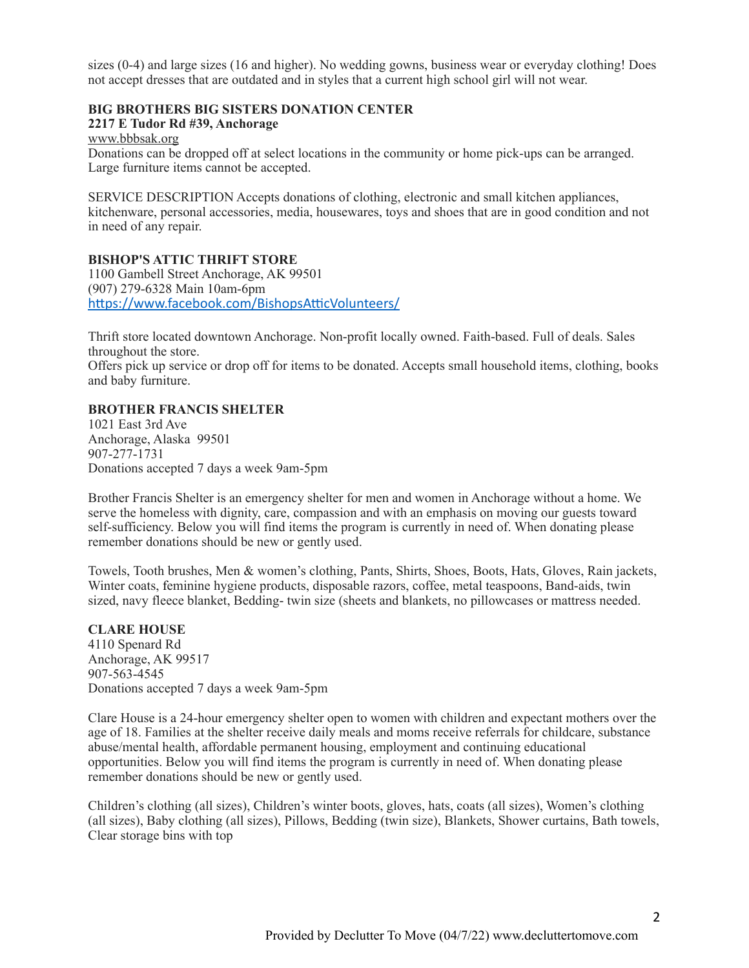sizes (0-4) and large sizes (16 and higher). No wedding gowns, business wear or everyday clothing! Does not accept dresses that are outdated and in styles that a current high school girl will not wear.

## **BIG BROTHERS BIG SISTERS DONATION CENTER**

#### **2217 E Tudor Rd #39, Anchorage**

[www.bbbsak.org](http://www.bbbsak.org)

Donations can be dropped off at select locations in the community or home pick-ups can be arranged. Large furniture items cannot be accepted.

SERVICE DESCRIPTION Accepts donations of clothing, electronic and small kitchen appliances, kitchenware, personal accessories, media, housewares, toys and shoes that are in good condition and not in need of any repair.

#### **BISHOP'S ATTIC THRIFT STORE**

1100 Gambell Street Anchorage, AK 99501 (907) 279-6328 Main 10am-6pm <https://www.facebook.com/BishopsAtticVolunteers/>

Thrift store located downtown Anchorage. Non-profit locally owned. Faith-based. Full of deals. Sales throughout the store.

Offers pick up service or drop off for items to be donated. Accepts small household items, clothing, books and baby furniture.

# **BROTHER FRANCIS SHELTER**

1021 East 3rd Ave Anchorage, Alaska 99501 907-277-1731 Donations accepted 7 days a week 9am-5pm

Brother Francis Shelter is an emergency shelter for men and women in Anchorage without a home. We serve the homeless with dignity, care, compassion and with an emphasis on moving our guests toward self-sufficiency. Below you will find items the program is currently in need of. When donating please remember donations should be new or gently used.

Towels, Tooth brushes, Men & women's clothing, Pants, Shirts, Shoes, Boots, Hats, Gloves, Rain jackets, Winter coats, feminine hygiene products, disposable razors, coffee, metal teaspoons, Band-aids, twin sized, navy fleece blanket, Bedding- twin size (sheets and blankets, no pillowcases or mattress needed.

#### **CLARE HOUSE**

4110 Spenard Rd Anchorage, AK 99517 907-563-4545 Donations accepted 7 days a week 9am-5pm

Clare House is a 24-hour emergency shelter open to women with children and expectant mothers over the age of 18. Families at the shelter receive daily meals and moms receive referrals for childcare, substance abuse/mental health, affordable permanent housing, employment and continuing educational opportunities. Below you will find items the program is currently in need of. When donating please remember donations should be new or gently used.

Children's clothing (all sizes), Children's winter boots, gloves, hats, coats (all sizes), Women's clothing (all sizes), Baby clothing (all sizes), Pillows, Bedding (twin size), Blankets, Shower curtains, Bath towels, Clear storage bins with top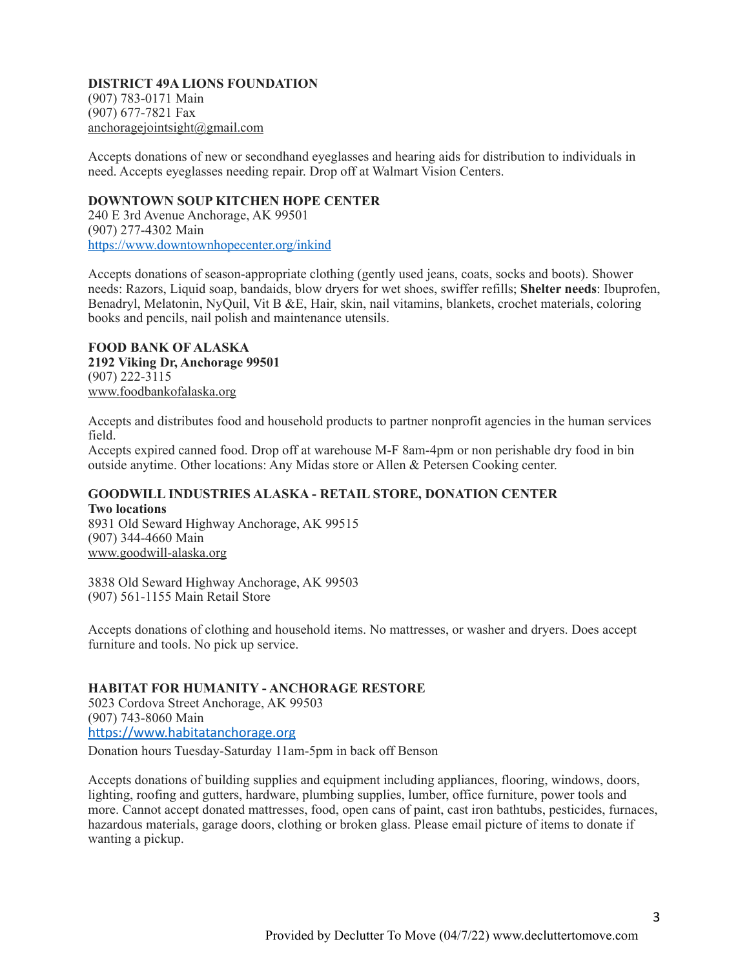#### **DISTRICT 49A LIONS FOUNDATION** (907) 783-0171 Main (907) 677-7821 Fax [anchoragejointsight@gmail.com](mailto:anchoragejointsight@gmail.com)

Accepts donations of new or secondhand eyeglasses and hearing aids for distribution to individuals in need. Accepts eyeglasses needing repair. Drop off at Walmart Vision Centers.

#### **DOWNTOWN SOUP KITCHEN HOPE CENTER**

240 E 3rd Avenue Anchorage, AK 99501 (907) 277-4302 Main <https://www.downtownhopecenter.org/inkind>

Accepts donations of season-appropriate clothing (gently used jeans, coats, socks and boots). Shower needs: Razors, Liquid soap, bandaids, blow dryers for wet shoes, swiffer refills; **Shelter needs**: Ibuprofen, Benadryl, Melatonin, NyQuil, Vit B &E, Hair, skin, nail vitamins, blankets, crochet materials, coloring books and pencils, nail polish and maintenance utensils.

#### **FOOD BANK OF ALASKA 2192 Viking Dr, Anchorage 99501** (907) 222-3115

[www.foodbankofalaska.org](http://www.foodbankofalaska.org)

Accepts and distributes food and household products to partner nonprofit agencies in the human services field.

Accepts expired canned food. Drop off at warehouse M-F 8am-4pm or non perishable dry food in bin outside anytime. Other locations: Any Midas store or Allen & Petersen Cooking center.

# **GOODWILL INDUSTRIES ALASKA - RETAIL STORE, DONATION CENTER Two locations**

8931 Old Seward Highway Anchorage, AK 99515 (907) 344-4660 Main [www.goodwill-alaska.org](http://www.goodwill-alaska.org)

3838 Old Seward Highway Anchorage, AK 99503 (907) 561-1155 Main Retail Store

Accepts donations of clothing and household items. No mattresses, or washer and dryers. Does accept furniture and tools. No pick up service.

# **HABITAT FOR HUMANITY - ANCHORAGE RESTORE**

5023 Cordova Street Anchorage, AK 99503 (907) 743-8060 Main <https://www.habitatanchorage.org>

Donation hours Tuesday-Saturday 11am-5pm in back off Benson

Accepts donations of building supplies and equipment including appliances, flooring, windows, doors, lighting, roofing and gutters, hardware, plumbing supplies, lumber, office furniture, power tools and more. Cannot accept donated mattresses, food, open cans of paint, cast iron bathtubs, pesticides, furnaces, hazardous materials, garage doors, clothing or broken glass. Please email picture of items to donate if wanting a pickup.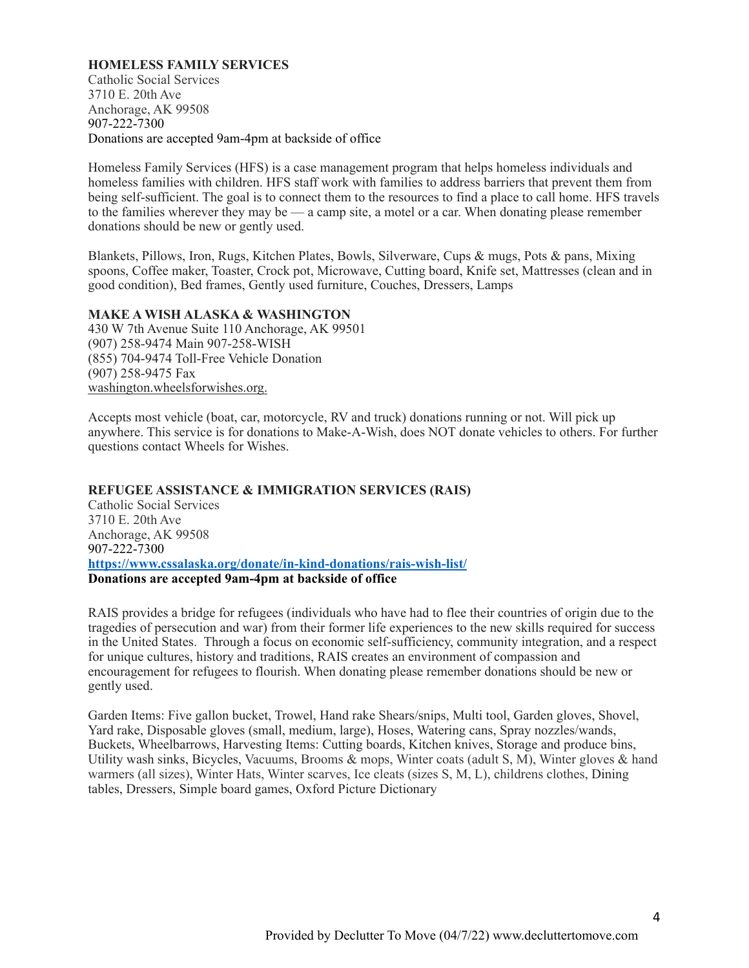#### **HOMELESS FAMILY SERVICES**

Catholic Social Services 3710 E. 20th Ave Anchorage, AK 99508 907-222-7300 Donations are accepted 9am-4pm at backside of office

Homeless Family Services (HFS) is a case management program that helps homeless individuals and homeless families with children. HFS staff work with families to address barriers that prevent them from being self-sufficient. The goal is to connect them to the resources to find a place to call home. HFS travels to the families wherever they may be — a camp site, a motel or a car. When donating please remember donations should be new or gently used.

Blankets, Pillows, Iron, Rugs, Kitchen Plates, Bowls, Silverware, Cups & mugs, Pots & pans, Mixing spoons, Coffee maker, Toaster, Crock pot, Microwave, Cutting board, Knife set, Mattresses (clean and in good condition), Bed frames, Gently used furniture, Couches, Dressers, Lamps

#### **MAKE A WISH ALASKA & WASHINGTON**

430 W 7th Avenue Suite 110 Anchorage, AK 99501 (907) 258-9474 Main 907-258-WISH (855) 704-9474 Toll-Free Vehicle Donation (907) 258-9475 Fax [washington.wheelsforwishes.org.](http://washington.wheelsforwishes.org.)

Accepts most vehicle (boat, car, motorcycle, RV and truck) donations running or not. Will pick up anywhere. This service is for donations to Make-A-Wish, does NOT donate vehicles to others. For further questions contact Wheels for Wishes.

**REFUGEE ASSISTANCE & IMMIGRATION SERVICES (RAIS)**  Catholic Social Services 3710 E. 20th Ave Anchorage, AK 99508 907-222-7300 **<https://www.cssalaska.org/donate/in-kind-donations/rais-wish-list/> Donations are accepted 9am-4pm at backside of office**

RAIS provides a bridge for refugees (individuals who have had to flee their countries of origin due to the tragedies of persecution and war) from their former life experiences to the new skills required for success in the United States. Through a focus on economic self-sufficiency, community integration, and a respect for unique cultures, history and traditions, RAIS creates an environment of compassion and encouragement for refugees to flourish. When donating please remember donations should be new or gently used.

Garden Items: Five gallon bucket, Trowel, Hand rake Shears/snips, Multi tool, Garden gloves, Shovel, Yard rake, Disposable gloves (small, medium, large), Hoses, Watering cans, Spray nozzles/wands, Buckets, Wheelbarrows, Harvesting Items: Cutting boards, Kitchen knives, Storage and produce bins, Utility wash sinks, Bicycles, Vacuums, Brooms & mops, Winter coats (adult S, M), Winter gloves & hand warmers (all sizes), Winter Hats, Winter scarves, Ice cleats (sizes S, M, L), childrens clothes, Dining tables, Dressers, Simple board games, Oxford Picture Dictionary